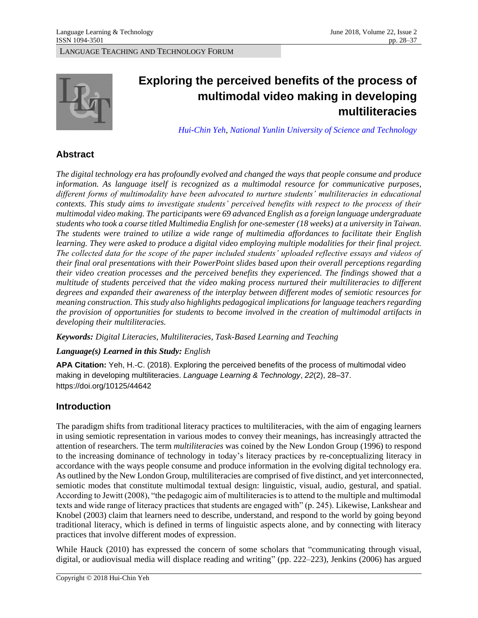

# **Exploring the perceived benefits of the process of multimodal video making in developing multiliteracies**

*[Hui-Chin Yeh](http://www.dafl.yuntech.edu.tw/teacherview.php?id=葉惠菁)[, National Yunlin University of Science and Technology](http://www.dafl.yuntech.edu.tw/teacherview.php?id=%E8%91%89%E6%83%A0%E8%8F%81)* 

# **Abstract**

 *The digital technology era has profoundly evolved and changed the ways that people consume and produce information. As language itself is recognized as a multimodal resource for communicative purposes, contexts. This study aims to investigate students' perceived benefits with respect to the process of their multimodal video making. The participants were 69 advanced English as a foreign language undergraduate students who took a course titled Multimedia English for one-semester (18 weeks) at a university in Taiwan. The students were trained to utilize a wide range of multimedia affordances to facilitate their English*  learning. They were asked to produce a digital video employing multiple modalities for their final project.  *their final oral presentations with their PowerPoint slides based upon their overall perceptions regarding multitude of students perceived that the video making process nurtured their multiliteracies to different degrees and expanded their awareness of the interplay between different modes of semiotic resources for meaning construction. This study also highlights pedagogical implications for language teachers regarding the provision of opportunities for students to become involved in the creation of multimodal artifacts in different forms of multimodality have been advocated to nurture students' multiliteracies in educational The collected data for the scope of the paper included students' uploaded reflective essays and videos of their video creation processes and the perceived benefits they experienced. The findings showed that a developing their multiliteracies.* 

*Keywords: Digital Literacies, Multiliteracies, Task-Based Learning and Teaching* 

## *Language(s) Learned in this Study: English*

**APA Citation:** Yeh, H.-C. (2018). Exploring the perceived benefits of the process of multimodal video making in developing multiliteracies. *Language Learning & Technology*, *22*(2), 28–37. https://doi.org/10125/44642

# **Introduction**

 in using semiotic representation in various modes to convey their meanings, has increasingly attracted the attention of researchers. The term *multiliteracies* was coined by the New London Group (1996) to respond to the increasing dominance of technology in today's literacy practices by re-conceptualizing literacy in accordance with the ways people consume and produce information in the evolving digital technology era. As outlined by the New London Group, multiliteracies are comprised of five distinct, and yet interconnected, semiotic modes that constitute multimodal textual design: linguistic, visual, audio, gestural, and spatial. According to Jewitt (2008), "the pedagogic aim of multiliteracies is to attend to the multiple and multimodal texts and wide range of literacy practices that students are engaged with" (p. 245). Likewise, Lankshear and traditional literacy, which is defined in terms of linguistic aspects alone, and by connecting with literacy The paradigm shifts from traditional literacy practices to multiliteracies, with the aim of engaging learners Knobel (2003) claim that learners need to describe, understand, and respond to the world by going beyond practices that involve different modes of expression.

 While Hauck (2010) has expressed the concern of some scholars that "communicating through visual, digital, or audiovisual media will displace reading and writing" (pp. 222–223), Jenkins (2006) has argued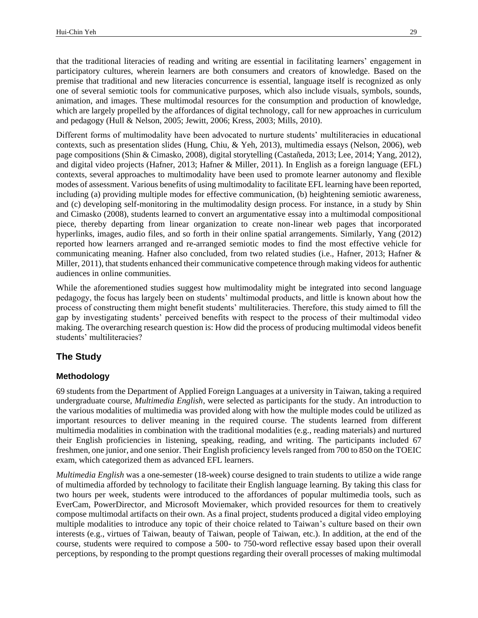that the traditional literacies of reading and writing are essential in facilitating learners' engagement in participatory cultures, wherein learners are both consumers and creators of knowledge. Based on the which are largely propelled by the affordances of digital technology, call for new approaches in curriculum premise that traditional and new literacies concurrence is essential, language itself is recognized as only one of several semiotic tools for communicative purposes, which also include visuals, symbols, sounds, animation, and images. These multimodal resources for the consumption and production of knowledge, and pedagogy (Hull & Nelson, 2005; Jewitt, 2006; Kress, 2003; Mills, 2010).

 contexts, such as presentation slides (Hung, Chiu, & Yeh, 2013), multimedia essays (Nelson, 2006), web page compositions (Shin & Cimasko, 2008), digital storytelling (Castañeda, 2013; Lee, 2014; Yang, 2012), contexts, several approaches to multimodality have been used to promote learner autonomy and flexible including (a) providing multiple modes for effective communication, (b) heightening semiotic awareness, and (c) developing self-monitoring in the multimodality design process. For instance, in a study by Shin and Cimasko (2008), students learned to convert an argumentative essay into a multimodal compositional piece, thereby departing from linear organization to create non-linear web pages that incorporated hyperlinks, images, audio files, and so forth in their online spatial arrangements. Similarly, Yang (2012) communicating meaning. Hafner also concluded, from two related studies (i.e., Hafner, 2013; Hafner & Miller, 2011), that students enhanced their communicative competence through making videos for authentic Different forms of multimodality have been advocated to nurture students' multiliteracies in educational and digital video projects (Hafner, 2013; Hafner & Miller, 2011). In English as a foreign language (EFL) modes of assessment. Various benefits of using multimodality to facilitate EFL learning have been reported, reported how learners arranged and re-arranged semiotic modes to find the most effective vehicle for audiences in online communities.

 pedagogy, the focus has largely been on students' multimodal products, and little is known about how the process of constructing them might benefit students' multiliteracies. Therefore, this study aimed to fill the gap by investigating students' perceived benefits with respect to the process of their multimodal video making. The overarching research question is: How did the process of producing multimodal videos benefit While the aforementioned studies suggest how multimodality might be integrated into second language students' multiliteracies?

## **The Study**

#### **Methodology**

 69 students from the Department of Applied Foreign Languages at a university in Taiwan, taking a required undergraduate course, *Multimedia English*, were selected as participants for the study. An introduction to the various modalities of multimedia was provided along with how the multiple modes could be utilized as important resources to deliver meaning in the required course. The students learned from different multimedia modalities in combination with the traditional modalities (e.g., reading materials) and nurtured their English proficiencies in listening, speaking, reading, and writing. The participants included 67 freshmen, one junior, and one senior. Their English proficiency levels ranged from 700 to 850 on the TOEIC exam, which categorized them as advanced EFL learners.

 *Multimedia English* was a one-semester (18-week) course designed to train students to utilize a wide range two hours per week, students were introduced to the affordances of popular multimedia tools, such as EverCam, PowerDirector, and Microsoft Moviemaker, which provided resources for them to creatively compose multimodal artifacts on their own. As a final project, students produced a digital video employing multiple modalities to introduce any topic of their choice related to Taiwan's culture based on their own interests (e.g., virtues of Taiwan, beauty of Taiwan, people of Taiwan, etc.). In addition, at the end of the course, students were required to compose a 500- to 750-word reflective essay based upon their overall perceptions, by responding to the prompt questions regarding their overall processes of making multimodal of multimedia afforded by technology to facilitate their English language learning. By taking this class for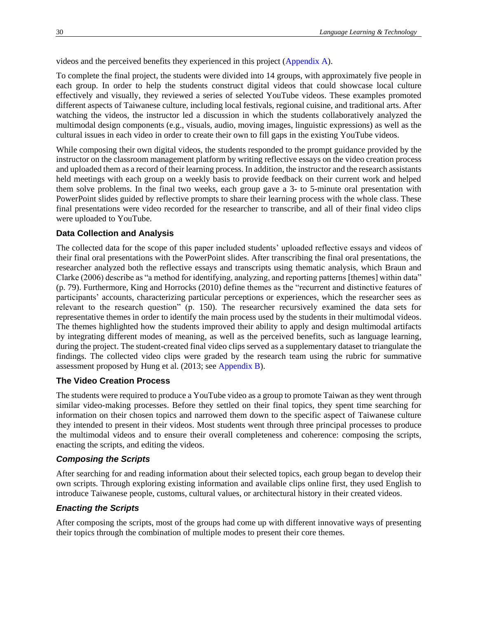<span id="page-2-0"></span>videos and the perceived benefits they experienced in this project [\(Appendix A\)](#page-8-0).

 To complete the final project, the students were divided into 14 groups, with approximately five people in each group. In order to help the students construct digital videos that could showcase local culture effectively and visually, they reviewed a series of selected YouTube videos. These examples promoted watching the videos, the instructor led a discussion in which the students collaboratively analyzed the cultural issues in each video in order to create their own to fill gaps in the existing YouTube videos. different aspects of Taiwanese culture, including local festivals, regional cuisine, and traditional arts. After multimodal design components (e.g., visuals, audio, moving images, linguistic expressions) as well as the

 While composing their own digital videos, the students responded to the prompt guidance provided by the instructor on the classroom management platform by writing reflective essays on the video creation process and uploaded them as a record of their learning process. In addition, the instructor and the research assistants held meetings with each group on a weekly basis to provide feedback on their current work and helped them solve problems. In the final two weeks, each group gave a 3- to 5-minute oral presentation with final presentations were video recorded for the researcher to transcribe, and all of their final video clips PowerPoint slides guided by reflective prompts to share their learning process with the whole class. These were uploaded to YouTube.

#### **Data Collection and Analysis**

 The collected data for the scope of this paper included students' uploaded reflective essays and videos of researcher analyzed both the reflective essays and transcripts using thematic analysis, which Braun and Clarke (2006) describe as "a method for identifying, analyzing, and reporting patterns [themes] within data" (p. 79). Furthermore, King and Horrocks (2010) define themes as the "recurrent and distinctive features of relevant to the research question" (p. 150). The researcher recursively examined the data sets for representative themes in order to identify the main process used by the students in their multimodal videos. The themes highlighted how the students improved their ability to apply and design multimodal artifacts by integrating different modes of meaning, as well as the perceived benefits, such as language learning, during the project. The student-created final video clips served as a supplementary dataset to triangulate the findings. The collected video clips were graded by the research team using the rubric for summative their final oral presentations with the PowerPoint slides. After transcribing the final oral presentations, the participants' accounts, characterizing particular perceptions or experiences, which the researcher sees as assessment proposed by Hung et al. (2013; see [Appendix B\)](#page-8-1).

#### <span id="page-2-1"></span>**The Video Creation Process**

 The students were required to produce a YouTube video as a group to promote Taiwan as they went through similar video-making processes. Before they settled on their final topics, they spent time searching for information on their chosen topics and narrowed them down to the specific aspect of Taiwanese culture they intended to present in their videos. Most students went through three principal processes to produce the multimodal videos and to ensure their overall completeness and coherence: composing the scripts, enacting the scripts, and editing the videos.

#### *Composing the Scripts*

 After searching for and reading information about their selected topics, each group began to develop their own scripts. Through exploring existing information and available clips online first, they used English to introduce Taiwanese people, customs, cultural values, or architectural history in their created videos.

#### *Enacting the Scripts*

 their topics through the combination of multiple modes to present their core themes. After composing the scripts, most of the groups had come up with different innovative ways of presenting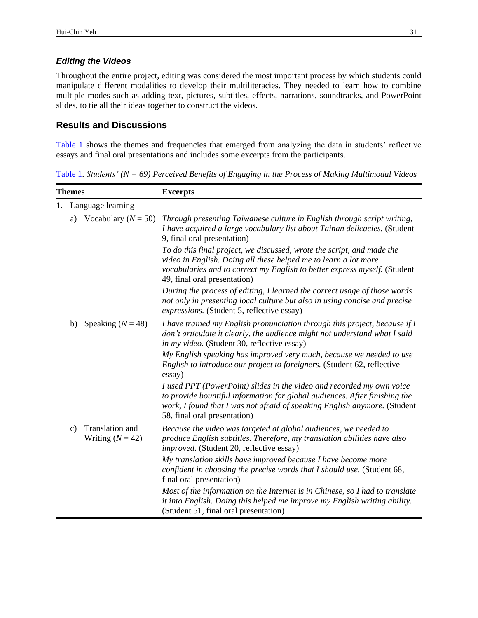#### *Editing the Videos*

 Throughout the entire project, editing was considered the most important process by which students could manipulate different modalities to develop their multiliteracies. They needed to learn how to combine multiple modes such as adding text, pictures, subtitles, effects, narrations, soundtracks, and PowerPoint slides, to tie all their ideas together to construct the videos.

## **Results and Discussions**

<span id="page-3-1"></span>[Table 1](#page-3-0) shows the themes and frequencies that emerged from analyzing the data in students' reflective essays and final oral presentations and includes some excerpts from the participants.

<span id="page-3-0"></span>[Table 1.](#page-3-1) *Students' (N = 69) Perceived Benefits of Engaging in the Process of Making Multimodal Videos* 

| <b>Themes</b> |                   |                                       | <b>Excerpts</b>                                                                                                                                                                                                                                                  |  |
|---------------|-------------------|---------------------------------------|------------------------------------------------------------------------------------------------------------------------------------------------------------------------------------------------------------------------------------------------------------------|--|
|               | Language learning |                                       |                                                                                                                                                                                                                                                                  |  |
|               | a)                | Vocabulary ( $N = 50$ )               | Through presenting Taiwanese culture in English through script writing,<br>I have acquired a large vocabulary list about Tainan delicacies. (Student<br>9, final oral presentation)                                                                              |  |
|               |                   |                                       | To do this final project, we discussed, wrote the script, and made the<br>video in English. Doing all these helped me to learn a lot more<br>vocabularies and to correct my English to better express myself. (Student<br>49, final oral presentation)           |  |
|               |                   |                                       | During the process of editing, I learned the correct usage of those words<br>not only in presenting local culture but also in using concise and precise<br>expressions. (Student 5, reflective essay)                                                            |  |
|               | b)                | Speaking ( $N = 48$ )                 | I have trained my English pronunciation through this project, because if I<br>don't articulate it clearly, the audience might not understand what I said<br>in my video. (Student 30, reflective essay)                                                          |  |
|               |                   |                                       | My English speaking has improved very much, because we needed to use<br>English to introduce our project to foreigners. (Student 62, reflective<br>essay)                                                                                                        |  |
|               |                   |                                       | I used PPT (PowerPoint) slides in the video and recorded my own voice<br>to provide bountiful information for global audiences. After finishing the<br>work, I found that I was not afraid of speaking English anymore. (Student<br>58, final oral presentation) |  |
|               | c)                | Translation and<br>Writing $(N = 42)$ | Because the video was targeted at global audiences, we needed to<br>produce English subtitles. Therefore, my translation abilities have also<br>improved. (Student 20, reflective essay)                                                                         |  |
|               |                   |                                       | My translation skills have improved because I have become more<br>confident in choosing the precise words that I should use. (Student 68,<br>final oral presentation)                                                                                            |  |
|               |                   |                                       | Most of the information on the Internet is in Chinese, so I had to translate<br>it into English. Doing this helped me improve my English writing ability.<br>(Student 51, final oral presentation)                                                               |  |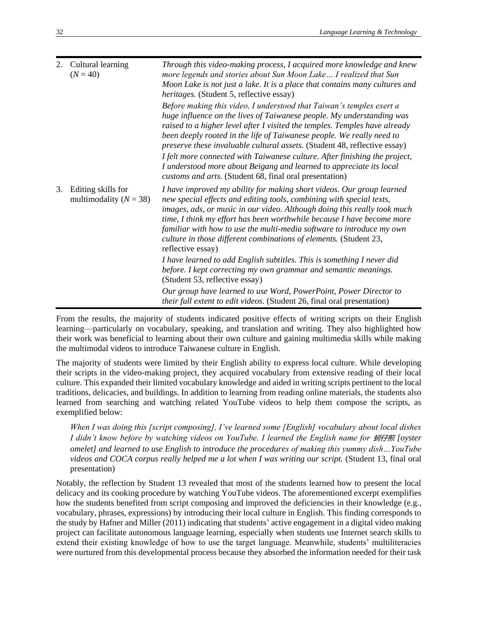| 2. | Cultural learning<br>$(N = 40)$                  | Through this video-making process, I acquired more knowledge and knew<br>more legends and stories about Sun Moon Lake I realized that Sun<br>Moon Lake is not just a lake. It is a place that contains many cultures and<br><i>heritages.</i> (Student 5, reflective essay)                                                                                                                                                                                            |
|----|--------------------------------------------------|------------------------------------------------------------------------------------------------------------------------------------------------------------------------------------------------------------------------------------------------------------------------------------------------------------------------------------------------------------------------------------------------------------------------------------------------------------------------|
|    |                                                  | Before making this video, I understood that Taiwan's temples exert a<br>huge influence on the lives of Taiwanese people. My understanding was<br>raised to a higher level after I visited the temples. Temples have already<br>been deeply rooted in the life of Taiwanese people. We really need to<br><i>preserve these invaluable cultural assets.</i> (Student 48, reflective essay)                                                                               |
|    |                                                  | I felt more connected with Taiwanese culture. After finishing the project,<br>I understood more about Beigang and learned to appreciate its local<br>customs and arts. (Student 68, final oral presentation)                                                                                                                                                                                                                                                           |
| 3. | Editing skills for<br>multimodality ( $N = 38$ ) | I have improved my ability for making short videos. Our group learned<br>new special effects and editing tools, combining with special texts,<br>images, ads, or music in our video. Although doing this really took much<br>time, I think my effort has been worthwhile because I have become more<br>familiar with how to use the multi-media software to introduce my own<br>culture in those different combinations of elements. (Student 23,<br>reflective essay) |
|    |                                                  | I have learned to add English subtitles. This is something I never did<br>before. I kept correcting my own grammar and semantic meanings.<br>(Student 53, reflective essay)                                                                                                                                                                                                                                                                                            |
|    |                                                  | Our group have learned to use Word, PowerPoint, Power Director to<br><i>their full extent to edit videos.</i> (Student 26, final oral presentation)                                                                                                                                                                                                                                                                                                                    |

 learning—particularly on vocabulary, speaking, and translation and writing. They also highlighted how their work was beneficial to learning about their own culture and gaining multimedia skills while making From the results, the majority of students indicated positive effects of writing scripts on their English the multimodal videos to introduce Taiwanese culture in English.

 The majority of students were limited by their English ability to express local culture. While developing their scripts in the video-making project, they acquired vocabulary from extensive reading of their local culture. This expanded their limited vocabulary knowledge and aided in writing scripts pertinent to the local traditions, delicacies, and buildings. In addition to learning from reading online materials, the students also learned from searching and watching related YouTube videos to help them compose the scripts, as exemplified below:

 *When I was doing this [script composing], I've learned some [English] vocabulary about local dishes* I didn't know before by watching videos on YouTube. I learned the English name for 蚵仔煎 [oyster  *omelet] and learned to use English to introduce the procedures of making this yummy dish…YouTube videos and COCA corpus really helped me a lot when I was writing our script.* (Student 13, final oral presentation)

 Notably, the reflection by Student 13 revealed that most of the students learned how to present the local delicacy and its cooking procedure by watching YouTube videos. The aforementioned excerpt exemplifies how the students benefited from script composing and improved the deficiencies in their knowledge (e.g., vocabulary, phrases, expressions) by introducing their local culture in English. This finding corresponds to the study by Hafner and Miller (2011) indicating that students' active engagement in a digital video making project can facilitate autonomous language learning, especially when students use Internet search skills to extend their existing knowledge of how to use the target language. Meanwhile, students' multiliteracies were nurtured from this developmental process because they absorbed the information needed for their task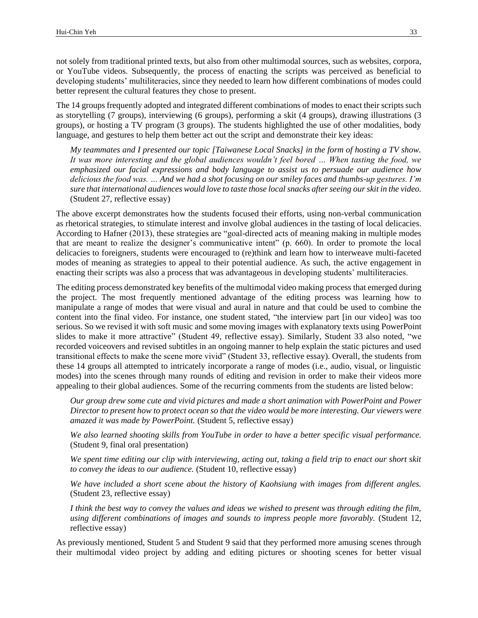not solely from traditional printed texts, but also from other multimodal sources, such as websites, corpora, or YouTube videos. Subsequently, the process of enacting the scripts was perceived as beneficial to developing students' multiliteracies, since they needed to learn how different combinations of modes could better represent the cultural features they chose to present.

 The 14 groups frequently adopted and integrated different combinations of modes to enact their scripts such as storytelling (7 groups), interviewing (6 groups), performing a skit (4 groups), drawing illustrations (3 groups), or hosting a TV program (3 groups). The students highlighted the use of other modalities, body language, and gestures to help them better act out the script and demonstrate their key ideas:

 *My teammates and I presented our topic [Taiwanese Local Snacks] in the form of hosting a TV show. emphasized our facial expressions and body language to assist us to persuade our audience how delicious the food was. … And we had a shot focusing on our smiley faces and thumbs-up gestures. I'm sure that international audiences would love to taste those local snacks after seeing our skit in the video. It was more interesting and the global audiences wouldn't feel bored … When tasting the food, we* (Student 27, reflective essay)

 The above excerpt demonstrates how the students focused their efforts, using non-verbal communication as rhetorical strategies, to stimulate interest and involve global audiences in the tasting of local delicacies. According to Hafner (2013), these strategies are "goal-directed acts of meaning making in multiple modes delicacies to foreigners, students were encouraged to (re)think and learn how to interweave multi-faceted modes of meaning as strategies to appeal to their potential audience. As such, the active engagement in that are meant to realize the designer's communicative intent" (p. 660). In order to promote the local enacting their scripts was also a process that was advantageous in developing students' multiliteracies.

 The editing process demonstrated key benefits of the multimodal video making process that emerged during the project. The most frequently mentioned advantage of the editing process was learning how to manipulate a range of modes that were visual and aural in nature and that could be used to combine the content into the final video. For instance, one student stated, "the interview part [in our video] was too serious. So we revised it with soft music and some moving images with explanatory texts using PowerPoint slides to make it more attractive" (Student 49, reflective essay). Similarly, Student 33 also noted, "we recorded voiceovers and revised subtitles in an ongoing manner to help explain the static pictures and used these 14 groups all attempted to intricately incorporate a range of modes (i.e., audio, visual, or linguistic modes) into the scenes through many rounds of editing and revision in order to make their videos more transitional effects to make the scene more vivid" (Student 33, reflective essay). Overall, the students from appealing to their global audiences. Some of the recurring comments from the students are listed below:

 *Our group drew some cute and vivid pictures and made a short animation with PowerPoint and Power Director to present how to protect ocean so that the video would be more interesting. Our viewers were amazed it was made by PowerPoint.* (Student 5, reflective essay)

 *We also learned shooting skills from YouTube in order to have a better specific visual performance.*  (Student 9, final oral presentation)

We spent time editing our clip with interviewing, acting out, taking a field trip to enact our short skit *to convey the ideas to our audience.* (Student 10, reflective essay)

 *We have included a short scene about the history of Kaohsiung with images from different angles.*  (Student 23, reflective essay)

 *I think the best way to convey the values and ideas we wished to present was through editing the film, using different combinations of images and sounds to impress people more favorably.* (Student 12, reflective essay)

 their multimodal video project by adding and editing pictures or shooting scenes for better visual As previously mentioned, Student 5 and Student 9 said that they performed more amusing scenes through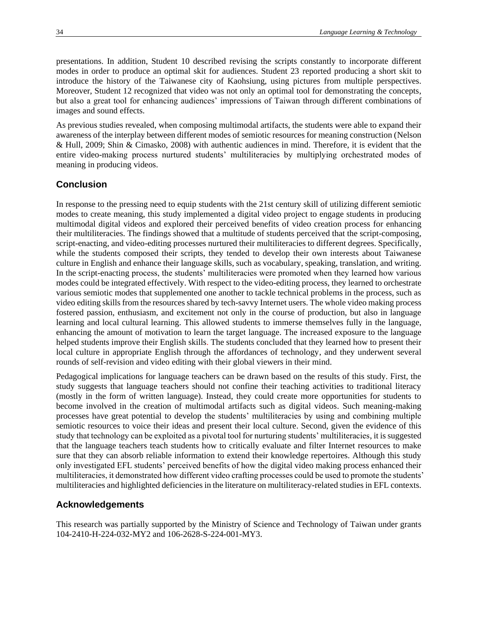presentations. In addition, Student 10 described revising the scripts constantly to incorporate different modes in order to produce an optimal skit for audiences. Student 23 reported producing a short skit to introduce the history of the Taiwanese city of Kaohsiung, using pictures from multiple perspectives. Moreover, Student 12 recognized that video was not only an optimal tool for demonstrating the concepts, but also a great tool for enhancing audiences' impressions of Taiwan through different combinations of images and sound effects.

 As previous studies revealed, when composing multimodal artifacts, the students were able to expand their & Hull, 2009; Shin & Cimasko, 2008) with authentic audiences in mind. Therefore, it is evident that the entire video-making process nurtured students' multiliteracies by multiplying orchestrated modes of awareness of the interplay between different modes of semiotic resources for meaning construction (Nelson meaning in producing videos.

## **Conclusion**

 In response to the pressing need to equip students with the 21st century skill of utilizing different semiotic multimodal digital videos and explored their perceived benefits of video creation process for enhancing their multiliteracies. The findings showed that a multitude of students perceived that the script-composing, while the students composed their scripts, they tended to develop their own interests about Taiwanese culture in English and enhance their language skills, such as vocabulary, speaking, translation, and writing. In the script-enacting process, the students' multiliteracies were promoted when they learned how various various semiotic modes that supplemented one another to tackle technical problems in the process, such as video editing skills from the resources shared by tech-savvy Internet users. The whole video making process fostered passion, enthusiasm, and excitement not only in the course of production, but also in language learning and local cultural learning. This allowed students to immerse themselves fully in the language, enhancing the amount of motivation to learn the target language. The increased exposure to the language helped students improve their English skills. The students concluded that they learned how to present their local culture in appropriate English through the affordances of technology, and they underwent several rounds of self-revision and video editing with their global viewers in their mind. modes to create meaning, this study implemented a digital video project to engage students in producing script-enacting, and video-editing processes nurtured their multiliteracies to different degrees. Specifically, modes could be integrated effectively. With respect to the video-editing process, they learned to orchestrate

 Pedagogical implications for language teachers can be drawn based on the results of this study. First, the (mostly in the form of written language). Instead, they could create more opportunities for students to become involved in the creation of multimodal artifacts such as digital videos. Such meaning-making processes have great potential to develop the students' multiliteracies by using and combining multiple semiotic resources to voice their ideas and present their local culture. Second, given the evidence of this study that technology can be exploited as a pivotal tool for nurturing students' multiliteracies, it is suggested that the language teachers teach students how to critically evaluate and filter Internet resources to make sure that they can absorb reliable information to extend their knowledge repertoires. Although this study only investigated EFL students' perceived benefits of how the digital video making process enhanced their multiliteracies, it demonstrated how different video crafting processes could be used to promote the students' multiliteracies and highlighted deficiencies in the literature on multiliteracy-related studies in EFL contexts. study suggests that language teachers should not confine their teaching activities to traditional literacy

#### **Acknowledgements**

 This research was partially supported by the Ministry of Science and Technology of Taiwan under grants 104-2410-H-224-032-MY2 and 106-2628-S-224-001-MY3.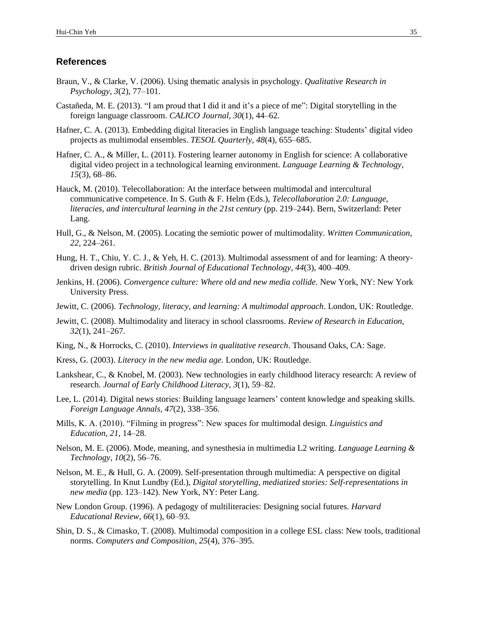#### **References**

- Braun, V., & Clarke, V. (2006). Using thematic analysis in psychology. *Qualitative Research in Psychology*, *3*(2), 77–101.
- Castañeda, M. E. (2013). "I am proud that I did it and it's a piece of me": Digital storytelling in the foreign language classroom. *CALICO Journal*, *30*(1), 44–62.
- Hafner, C. A. (2013). Embedding digital literacies in English language teaching: Students' digital video projects as multimodal ensembles. *TESOL Quarterly*, *48*(4), 655–685.
- Hafner, C. A., & Miller, L. (2011). Fostering learner autonomy in English for science: A collaborative digital video project in a technological learning environment. *Language Learning & Technology*, *15*(3), 68–86.
- Hauck, M. (2010). Telecollaboration: At the interface between multimodal and intercultural communicative competence. In S. Guth & F. Helm (Eds.), *Telecollaboration 2.0: Language, literacies, and intercultural learning in the 21st century* (pp. 219–244). Bern, Switzerland: Peter Lang.
- Hull, G., & Nelson, M. (2005). Locating the semiotic power of multimodality. *Written Communication*, *22*, 224–261.
- Hung, H. T., Chiu, Y. C. J., & Yeh, H. C. (2013). Multimodal assessment of and for learning: A theory‐ driven design rubric. *British Journal of Educational Technology*, *44*(3), 400–409.
- Jenkins, H. (2006). *Convergence culture: Where old and new media collide.* New York, NY: New York University Press.
- Jewitt, C. (2006). *Technology, literacy, and learning: A multimodal approach*. London, UK: Routledge.
- Jewitt, C. (2008). Multimodality and literacy in school classrooms. *Review of Research in Education*, *32*(1), 241–267.
- King, N., & Horrocks, C. (2010). *Interviews in qualitative research*. Thousand Oaks, CA: Sage.
- Kress, G. (2003). *Literacy in the new media age.* London, UK: Routledge.
- Lankshear, C., & Knobel, M. (2003). New technologies in early childhood literacy research: A review of research. *Journal of Early Childhood Literacy*, *3*(1), 59–82.
- Lee, L. (2014). Digital news stories: Building language learners' content knowledge and speaking skills. *Foreign Language Annals*, *47*(2), 338–356.
- Mills, K. A. (2010). "Filming in progress": New spaces for multimodal design. *Linguistics and Education*, *21*, 14–28.
- Nelson, M. E. (2006). Mode, meaning, and synesthesia in multimedia L2 writing. *Language Learning & Technology*, *10*(2), 56–76.
- Nelson, M. E., & Hull, G. A. (2009). Self-presentation through multimedia: A perspective on digital storytelling. In Knut Lundby (Ed.), *Digital storytelling, mediatized stories: Self-representations in new media* (pp. 123–142). New York, NY: Peter Lang.
- New London Group. (1996). A pedagogy of multiliteracies: Designing social futures. *Harvard Educational Review*, *66*(1), 60–93.
- Shin, D. S., & Cimasko, T. (2008). Multimodal composition in a college ESL class: New tools, traditional norms. *Computers and Composition*, *25*(4), 376–395.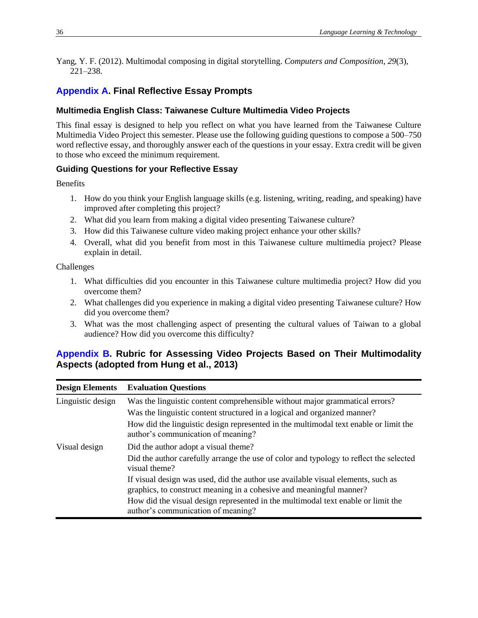Yang, Y. F. (2012). Multimodal composing in digital storytelling. *Computers and Composition*, *29*(3), 221–238.

# <span id="page-8-0"></span> **[Appendix A.](#page-2-0) Final Reflective Essay Prompts**

#### **Multimedia English Class: Taiwanese Culture Multimedia Video Projects**

 This final essay is designed to help you reflect on what you have learned from the Taiwanese Culture Multimedia Video Project this semester. Please use the following guiding questions to compose a 500–750 word reflective essay, and thoroughly answer each of the questions in your essay. Extra credit will be given to those who exceed the minimum requirement.

#### **Guiding Questions for your Reflective Essay**

**Benefits** 

- 1. How do you think your English language skills (e.g. listening, writing, reading, and speaking) have improved after completing this project?
- 2. What did you learn from making a digital video presenting Taiwanese culture?
- 3. How did this Taiwanese culture video making project enhance your other skills?
- 4. Overall, what did you benefit from most in this Taiwanese culture multimedia project? Please explain in detail.

Challenges

- 1. What difficulties did you encounter in this Taiwanese culture multimedia project? How did you overcome them?
- 2. What challenges did you experience in making a digital video presenting Taiwanese culture? How did you overcome them?
- <span id="page-8-1"></span> 3. What was the most challenging aspect of presenting the cultural values of Taiwan to a global audience? How did you overcome this difficulty?

## **[Appendix B.](#page-2-1) Rubric for Assessing Video Projects Based on Their Multimodality Aspects (adopted from Hung et al., 2013)**

| <b>Design Elements</b> | <b>Evaluation Questions</b>                                                                                                                             |
|------------------------|---------------------------------------------------------------------------------------------------------------------------------------------------------|
| Linguistic design      | Was the linguistic content comprehensible without major grammatical errors?                                                                             |
|                        | Was the linguistic content structured in a logical and organized manner?                                                                                |
|                        | How did the linguistic design represented in the multimodal text enable or limit the<br>author's communication of meaning?                              |
| Visual design          | Did the author adopt a visual theme?                                                                                                                    |
|                        | Did the author carefully arrange the use of color and typology to reflect the selected<br>visual theme?                                                 |
|                        | If visual design was used, did the author use available visual elements, such as<br>graphics, to construct meaning in a cohesive and meaningful manner? |
|                        | How did the visual design represented in the multimodal text enable or limit the<br>author's communication of meaning?                                  |